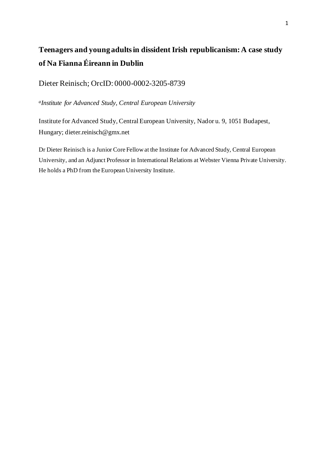# **Teenagers and young adults in dissident Irish republicanism: A case study of Na Fianna Éireann in Dublin**

Dieter Reinisch; OrcID: 0000-0002-3205-8739

*a Institute for Advanced Study, Central European University*

Institute for Advanced Study, Central European University, Nador u. 9, 1051 Budapest, Hungary; dieter.reinisch@gmx.net

Dr Dieter Reinisch is a Junior Core Fellow at the Institute for Advanced Study, Central European University, and an Adjunct Professor in International Relations at Webster Vienna Private University. He holds a PhD from the European University Institute.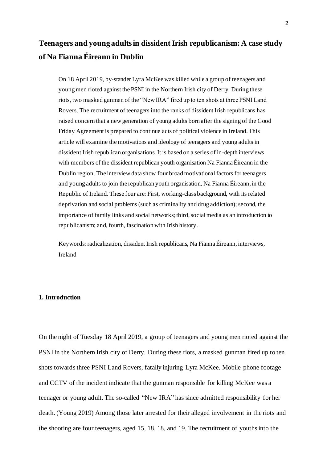# **Teenagers and young adults in dissident Irish republicanism: A case study of Na Fianna Éireann in Dublin**

On 18 April 2019, by-stander Lyra McKee was killed while a group of teenagers and young men rioted against the PSNI in the Northern Irish city of Derry. During these riots, two masked gunmen of the "New IRA" fired up to ten shots at three PSNI Land Rovers. The recruitment of teenagers into the ranks of dissident Irish republicans has raised concern that a new generation of young adults born after the signing of the Good Friday Agreement is prepared to continue acts of political violence in Ireland. This article will examine the motivations and ideology of teenagers and young adults in dissident Irish republican organisations. It is based on a series of in-depth interviews with members of the dissident republican youth organisation Na Fianna Éireann in the Dublin region. The interview data show four broad motivational factors for teenagers and young adults to join the republican youth organisation, Na Fianna Éireann, in the Republic of Ireland. These four are: First, working-class background, with its related deprivation and social problems (such as criminality and drug addiction); second, the importance of family links and social networks; third, social media as an introduction to republicanism; and, fourth, fascination with Irish history.

Keywords: radicalization, dissident Irish republicans, Na Fianna Éireann, interviews, Ireland

## **1. Introduction**

On the night of Tuesday 18 April 2019, a group of teenagers and young men rioted against the PSNI in the Northern Irish city of Derry. During these riots, a masked gunman fired up to ten shots towards three PSNI Land Rovers, fatally injuring Lyra McKee. Mobile phone footage and CCTV of the incident indicate that the gunman responsible for killing McKee was a teenager or young adult. The so-called "New IRA" has since admitted responsibility for her death. (Young 2019) Among those later arrested for their alleged involvement in the riots and the shooting are four teenagers, aged 15, 18, 18, and 19. The recruitment of youths into the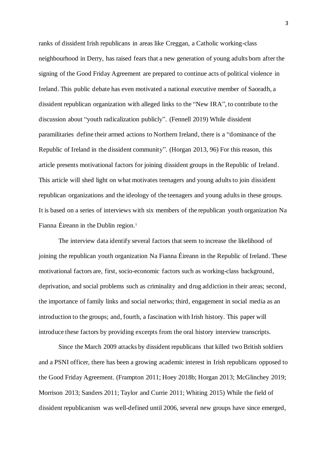ranks of dissident Irish republicans in areas like Creggan, a Catholic working-class neighbourhood in Derry, has raised fears that a new generation of young adults born after the signing of the Good Friday Agreement are prepared to continue acts of political violence in Ireland. This public debate has even motivated a national executive member of Saoradh, a dissident republican organization with alleged links to the "New IRA", to contribute to the discussion about "youth radicalization publicly". (Fennell 2019) While dissident paramilitaries define their armed actions to Northern Ireland, there is a "dominance of the Republic of Ireland in the dissident community". (Horgan 2013, 96) For this reason, this article presents motivational factors for joining dissident groups in the Republic of Ireland. This article will shed light on what motivates teenagers and young adults to join dissident republican organizations and the ideology of the teenagers and young adults in these groups. It is based on a series of interviews with six members of the republican youth organization Na Fianna Éireann in the Dublin region.<sup>1</sup>

The interview data identify several factors that seem to increase the likelihood of joining the republican youth organization Na Fianna Éireann in the Republic of Ireland. These motivational factors are, first, socio-economic factors such as working-class background, deprivation, and social problems such as criminality and drug addiction in their areas; second, the importance of family links and social networks; third, engagement in social media as an introduction to the groups; and, fourth, a fascination with Irish history. This paper will introduce these factors by providing excerpts from the oral history interview transcripts.

Since the March 2009 attacks by dissident republicans that killed two British soldiers and a PSNI officer, there has been a growing academic interest in Irish republicans opposed to the Good Friday Agreement. (Frampton 2011; Hoey 2018b; Horgan 2013; McGlinchey 2019; Morrison 2013; Sanders 2011; Taylor and Currie 2011; Whiting 2015) While the field of dissident republicanism was well-defined until 2006, several new groups have since emerged,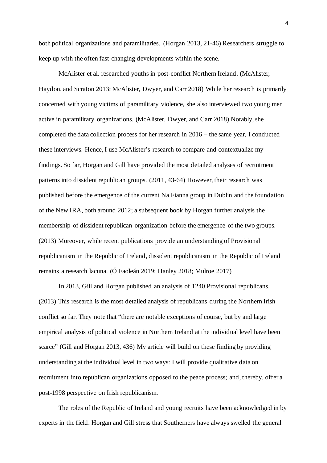both political organizations and paramilitaries. (Horgan 2013, 21-46) Researchers struggle to keep up with the often fast-changing developments within the scene.

McAlister et al. researched youths in post-conflict Northern Ireland. (McAlister, Haydon, and Scraton 2013; McAlister, Dwyer, and Carr 2018) While her research is primarily concerned with young victims of paramilitary violence, she also interviewed two young men active in paramilitary organizations. (McAlister, Dwyer, and Carr 2018) Notably, she completed the data collection process for her research in 2016 – the same year, I conducted these interviews. Hence, I use McAlister's research to compare and contextualize my findings. So far, Horgan and Gill have provided the most detailed analyses of recruitment patterns into dissident republican groups. (2011, 43-64) However, their research was published before the emergence of the current Na Fianna group in Dublin and the foundation of the New IRA, both around 2012; a subsequent book by Horgan further analysis the membership of dissident republican organization before the emergence of the two groups. (2013) Moreover, while recent publications provide an understanding of Provisional republicanism in the Republic of Ireland, dissident republicanism in the Republic of Ireland remains a research lacuna. (Ó Faoleán 2019; Hanley 2018; Mulroe 2017)

In 2013, Gill and Horgan published an analysis of 1240 Provisional republicans. (2013) This research is the most detailed analysis of republicans during the Northern Irish conflict so far. They note that "there are notable exceptions of course, but by and large empirical analysis of political violence in Northern Ireland at the individual level have been scarce" (Gill and Horgan 2013, 436) My article will build on these finding by providing understanding at the individual level in two ways: I will provide qualitative data on recruitment into republican organizations opposed to the peace process; and, thereby, offer a post-1998 perspective on Irish republicanism.

The roles of the Republic of Ireland and young recruits have been acknowledged in by experts in the field. Horgan and Gill stress that Southerners have always swelled the general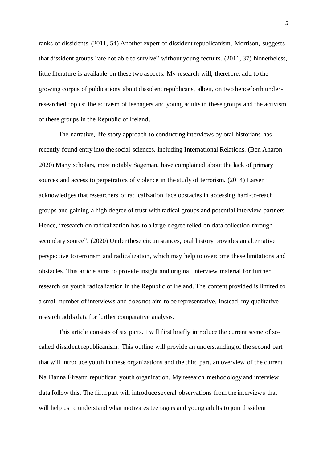ranks of dissidents. (2011, 54) Another expert of dissident republicanism, Morrison, suggests that dissident groups "are not able to survive" without young recruits. (2011, 37) Nonetheless, little literature is available on these two aspects. My research will, therefore, add to the growing corpus of publications about dissident republicans, albeit, on two henceforth underresearched topics: the activism of teenagers and young adults in these groups and the activism of these groups in the Republic of Ireland.

The narrative, life-story approach to conducting interviews by oral historians has recently found entry into the social sciences, including International Relations. (Ben Aharon 2020) Many scholars, most notably Sageman, have complained about the lack of primary sources and access to perpetrators of violence in the study of terrorism. (2014) Larsen acknowledges that researchers of radicalization face obstacles in accessing hard-to-reach groups and gaining a high degree of trust with radical groups and potential interview partners. Hence, "research on radicalization has to a large degree relied on data collection through secondary source". (2020) Under these circumstances, oral history provides an alternative perspective to terrorism and radicalization, which may help to overcome these limitations and obstacles. This article aims to provide insight and original interview material for further research on youth radicalization in the Republic of Ireland. The content provided is limited to a small number of interviews and does not aim to be representative. Instead, my qualitative research adds data for further comparative analysis.

This article consists of six parts. I will first briefly introduce the current scene of socalled dissident republicanism. This outline will provide an understanding of the second part that will introduce youth in these organizations and the third part, an overview of the current Na Fianna Éireann republican youth organization. My research methodology and interview data follow this. The fifth part will introduce several observations from the interviews that will help us to understand what motivates teenagers and young adults to join dissident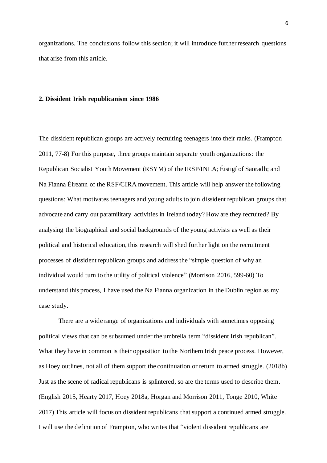organizations. The conclusions follow this section; it will introduce further research questions that arise from this article.

### **2. Dissident Irish republicanism since 1986**

The dissident republican groups are actively recruiting teenagers into their ranks. (Frampton 2011, 77-8) For this purpose, three groups maintain separate youth organizations: the Republican Socialist Youth Movement (RSYM) of the IRSP/INLA; Éistigí of Saoradh; and Na Fianna Éireann of the RSF/CIRA movement. This article will help answer the following questions: What motivates teenagers and young adults to join dissident republican groups that advocate and carry out paramilitary activities in Ireland today? How are they recruited? By analysing the biographical and social backgrounds of the young activists as well as their political and historical education, this research will shed further light on the recruitment processes of dissident republican groups and address the "simple question of why an individual would turn to the utility of political violence" (Morrison 2016, 599-60) To understand this process, I have used the Na Fianna organization in the Dublin region as my case study.

There are a wide range of organizations and individuals with sometimes opposing political views that can be subsumed under the umbrella term "dissident Irish republican". What they have in common is their opposition to the Northern Irish peace process. However, as Hoey outlines, not all of them support the continuation or return to armed struggle. (2018b) Just as the scene of radical republicans is splintered, so are the terms used to describe them. (English 2015, Hearty 2017, Hoey 2018a, Horgan and Morrison 2011, Tonge 2010, White 2017) This article will focus on dissident republicans that support a continued armed struggle. I will use the definition of Frampton, who writes that "violent dissident republicans are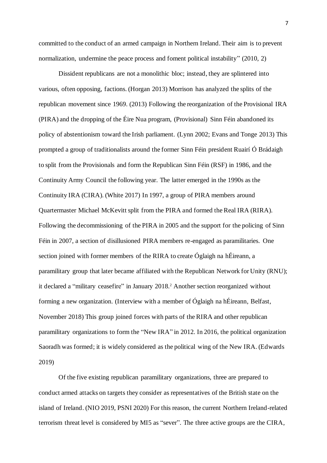committed to the conduct of an armed campaign in Northern Ireland. Their aim is to prevent normalization, undermine the peace process and foment political instability" (2010, 2)

Dissident republicans are not a monolithic bloc; instead, they are splintered into various, often opposing, factions. (Horgan 2013) Morrison has analyzed the splits of the republican movement since 1969. (2013) Following the reorganization of the Provisional IRA (PIRA) and the dropping of the Éire Nua program, (Provisional) Sinn Féin abandoned its policy of abstentionism toward the Irish parliament. (Lynn 2002; Evans and Tonge 2013) This prompted a group of traditionalists around the former Sinn Féin president Ruairí Ó Brádaigh to split from the Provisionals and form the Republican Sinn Féin (RSF) in 1986, and the Continuity Army Council the following year. The latter emerged in the 1990s as the Continuity IRA (CIRA). (White 2017) In 1997, a group of PIRA members around Quartermaster Michael McKevitt split from the PIRA and formed the Real IRA (RIRA). Following the decommissioning of the PIRA in 2005 and the support for the policing of Sinn Féin in 2007, a section of disillusioned PIRA members re-engaged as paramilitaries. One section joined with former members of the RIRA to create Óglaigh na hÉireann, a paramilitary group that later became affiliated with the Republican Network for Unity (RNU); it declared a "military ceasefire" in January 2018.<sup>2</sup> Another section reorganized without forming a new organization. (Interview with a member of Óglaigh na hÉireann, Belfast, November 2018) This group joined forces with parts of the RIRA and other republican paramilitary organizations to form the "New IRA" in 2012. In 2016, the political organization Saoradh was formed; it is widely considered as the political wing of the New IRA. (Edwards 2019)

Of the five existing republican paramilitary organizations, three are prepared to conduct armed attacks on targets they consider as representatives of the British state on the island of Ireland. (NIO 2019, PSNI 2020) For this reason, the current Northern Ireland-related terrorism threat level is considered by MI5 as "sever". The three active groups are the CIRA,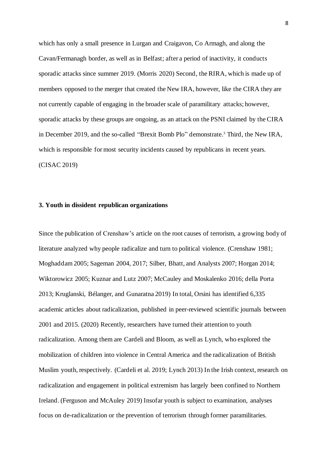which has only a small presence in Lurgan and Craigavon, Co Armagh, and along the Cavan/Fermanagh border, as well as in Belfast; after a period of inactivity, it conducts sporadic attacks since summer 2019. (Morris 2020) Second, the RIRA, which is made up of members opposed to the merger that created the New IRA, however, like the CIRA they are not currently capable of engaging in the broader scale of paramilitary attacks; however, sporadic attacks by these groups are ongoing, as an attack on the PSNI claimed by the CIRA in December 2019, and the so-called "Brexit Bomb Plo" demonstrate. <sup>3</sup> Third, the New IRA, which is responsible for most security incidents caused by republicans in recent years. (CISAC 2019)

## **3. Youth in dissident republican organizations**

Since the publication of Crenshaw's article on the root causes of terrorism, a growing body of literature analyzed why people radicalize and turn to political violence. (Crenshaw 1981; Moghaddam 2005; Sageman 2004, 2017; Silber, Bhatt, and Analysts 2007; Horgan 2014; Wiktorowicz 2005; Kuznar and Lutz 2007; McCauley and Moskalenko 2016; della Porta 2013; Kruglanski, Bélanger, and Gunaratna 2019) In total, Orsini has identified 6,335 academic articles about radicalization, published in peer-reviewed scientific journals between 2001 and 2015. (2020) Recently, researchers have turned their attention to youth radicalization. Among them are Cardeli and Bloom, as well as Lynch, who explored the mobilization of children into violence in Central America and the radicalization of British Muslim youth, respectively. (Cardeli et al. 2019; Lynch 2013) In the Irish context, research on radicalization and engagement in political extremism has largely been confined to Northern Ireland. (Ferguson and McAuley 2019) Insofar youth is subject to examination, analyses focus on de-radicalization or the prevention of terrorism through former paramilitaries.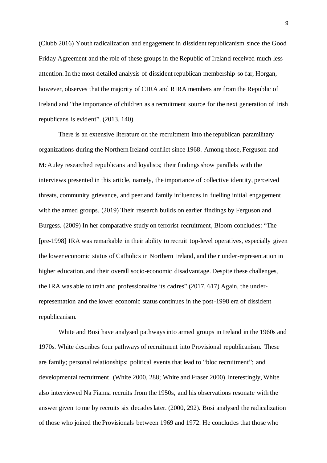(Clubb 2016) Youth radicalization and engagement in dissident republicanism since the Good Friday Agreement and the role of these groups in the Republic of Ireland received much less attention. In the most detailed analysis of dissident republican membership so far, Horgan, however, observes that the majority of CIRA and RIRA members are from the Republic of Ireland and "the importance of children as a recruitment source for the next generation of Irish republicans is evident". (2013, 140)

There is an extensive literature on the recruitment into the republican paramilitary organizations during the Northern Ireland conflict since 1968. Among those, Ferguson and McAuley researched republicans and loyalists; their findings show parallels with the interviews presented in this article, namely, the importance of collective identity, perceived threats, community grievance, and peer and family influences in fuelling initial engagement with the armed groups. (2019) Their research builds on earlier findings by Ferguson and Burgess. (2009) In her comparative study on terrorist recruitment, Bloom concludes: "The [pre-1998] IRA was remarkable in their ability to recruit top-level operatives, especially given the lower economic status of Catholics in Northern Ireland, and their under-representation in higher education, and their overall socio-economic disadvantage. Despite these challenges, the IRA was able to train and professionalize its cadres" (2017, 617) Again, the underrepresentation and the lower economic status continues in the post-1998 era of dissident republicanism.

White and Bosi have analysed pathways into armed groups in Ireland in the 1960s and 1970s. White describes four pathways of recruitment into Provisional republicanism. These are family; personal relationships; political events that lead to "bloc recruitment"; and developmental recruitment. (White 2000, 288; White and Fraser 2000) Interestingly, White also interviewed Na Fianna recruits from the 1950s, and his observations resonate with the answer given to me by recruits six decades later. (2000, 292). Bosi analysed the radicalization of those who joined the Provisionals between 1969 and 1972. He concludes that those who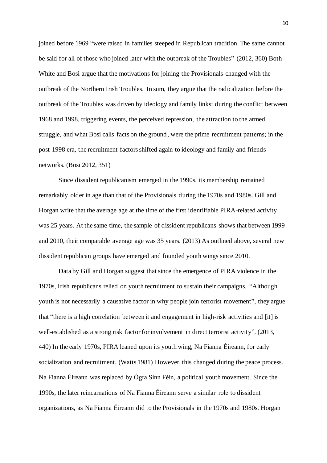joined before 1969 "were raised in families steeped in Republican tradition. The same cannot be said for all of those who joined later with the outbreak of the Troubles" (2012, 360) Both White and Bosi argue that the motivations for joining the Provisionals changed with the outbreak of the Northern Irish Troubles. In sum, they argue that the radicalization before the outbreak of the Troubles was driven by ideology and family links; during the conflict between 1968 and 1998, triggering events, the perceived repression, the attraction to the armed struggle, and what Bosi calls facts on the ground, were the prime recruitment patterns; in the post-1998 era, the recruitment factors shifted again to ideology and family and friends networks. (Bosi 2012, 351)

Since dissident republicanism emerged in the 1990s, its membership remained remarkably older in age than that of the Provisionals during the 1970s and 1980s. Gill and Horgan write that the average age at the time of the first identifiable PIRA-related activity was 25 years. At the same time, the sample of dissident republicans shows that between 1999 and 2010, their comparable average age was 35 years. (2013) As outlined above, several new dissident republican groups have emerged and founded youth wings since 2010.

Data by Gill and Horgan suggest that since the emergence of PIRA violence in the 1970s, Irish republicans relied on youth recruitment to sustain their campaigns. "Although youth is not necessarily a causative factor in why people join terrorist movement", they argue that "there is a high correlation between it and engagement in high-risk activities and [it] is well-established as a strong risk factor for involvement in direct terrorist activity". (2013, 440) In the early 1970s, PIRA leaned upon its youth wing, Na Fianna Éireann, for early socialization and recruitment. (Watts 1981) However, this changed during the peace process. Na Fianna Éireann was replaced by Ógra Sinn Féin, a political youth movement. Since the 1990s, the later reincarnations of Na Fianna Éireann serve a similar role to dissident organizations, as Na Fianna Éireann did to the Provisionals in the 1970s and 1980s. Horgan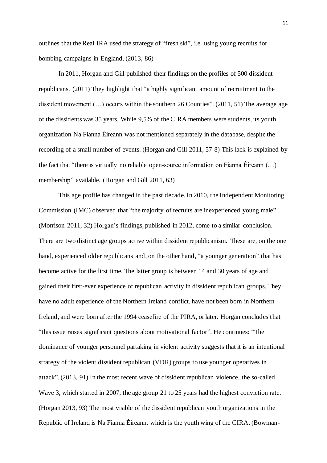outlines that the Real IRA used the strategy of "fresh ski", i.e. using young recruits for bombing campaigns in England. (2013, 86)

In 2011, Horgan and Gill published their findings on the profiles of 500 dissident republicans. (2011) They highlight that "a highly significant amount of recruitment to the dissident movement (...) occurs within the southern 26 Counties". (2011, 51) The average age of the dissidents was 35 years. While 9,5% of the CIRA members were students, its youth organization Na Fianna Éireann was not mentioned separately in the database, despite the recording of a small number of events. (Horgan and Gill 2011, 57-8) This lack is explained by the fact that "there is virtually no reliable open-source information on Fianna Éireann  $(\ldots)$ membership" available. (Horgan and Gill 2011, 63)

This age profile has changed in the past decade. In 2010, the Independent Monitoring Commission (IMC) observed that "the majority of recruits are inexperienced young male". (Morrison 2011, 32) Horgan's findings, published in 2012, come to a similar conclusion. There are two distinct age groups active within dissident republicanism. These are, on the one hand, experienced older republicans and, on the other hand, "a younger generation" that has become active for the first time. The latter group is between 14 and 30 years of age and gained their first-ever experience of republican activity in dissident republican groups. They have no adult experience of the Northern Ireland conflict, have not been born in Northern Ireland, and were born after the 1994 ceasefire of the PIRA, or later. Horgan concludes that "this issue raises significant questions about motivational factor". He continues: "The dominance of younger personnel partaking in violent activity suggests that it is an intentional strategy of the violent dissident republican (VDR) groups to use younger operatives in attack". (2013, 91) In the most recent wave of dissident republican violence, the so-called Wave 3, which started in 2007, the age group 21 to 25 years had the highest conviction rate. (Horgan 2013, 93) The most visible of the dissident republican youth organizations in the Republic of Ireland is Na Fianna Éireann, which is the youth wing of the CIRA. (Bowman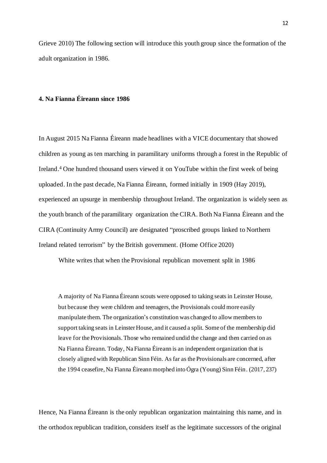Grieve 2010) The following section will introduce this youth group since the formation of the adult organization in 1986.

## **4. Na Fianna Éireann since 1986**

In August 2015 Na Fianna Éireann made headlines with a VICE documentary that showed children as young as ten marching in paramilitary uniforms through a forest in the Republic of Ireland. <sup>4</sup> One hundred thousand users viewed it on YouTube within the first week of being uploaded. In the past decade, Na Fianna Éireann, formed initially in 1909 (Hay 2019), experienced an upsurge in membership throughout Ireland. The organization is widely seen as the youth branch of the paramilitary organization the CIRA. Both Na Fianna Éireann and the CIRA (Continuity Army Council) are designated "proscribed groups linked to Northern Ireland related terrorism" by the British government. (Home Office 2020)

White writes that when the Provisional republican movement split in 1986

A majority of Na Fianna Éireann scouts were opposed to taking seats in Leinster House, but because they were children and teenagers, the Provisionals could more easily manipulate them. The organization's constitution was changed to allow members to support taking seats in Leinster House, and it caused a split. Some of the membership did leave for the Provisionals. Those who remained undid the change and then carried on as Na Fianna Éireann. Today, Na Fianna Éireann is an independent organization that is closely aligned with Republican Sinn Féin. As far as the Provisionals are concerned, after the 1994 ceasefire, Na Fianna Éireann morphed into Ógra (Young) Sinn Féin. (2017, 237)

Hence, Na Fianna Éireann is the only republican organization maintaining this name, and in the orthodox republican tradition, considers itself as the legitimate successors of the original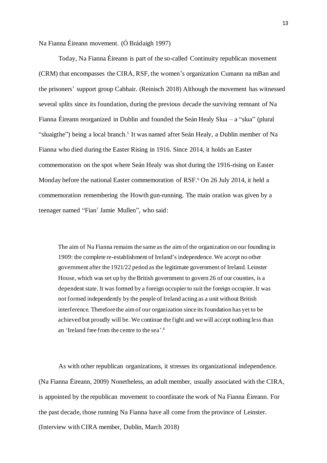Na Fianna Éireann movement. (Ó Brádaigh 1997)

Today, Na Fianna Éireann is part of the so-called Continuity republican movement (CRM) that encompasses the CIRA, RSF, the women's organization Cumann na mBan and the prisoners' support group Cabhair. (Reinisch 2018) Although the movement has witnessed several splits since its foundation, during the previous decade the surviving remnant of Na Fianna Éireann reorganized in Dublin and founded the Seán Healy Slua – a "slua" (plural "sluaigthe") being a local branch. 5 It was named after Seán Healy, a Dublin member of Na Fianna who died during the Easter Rising in 1916. Since 2014, it holds an Easter commemoration on the spot where Seán Healy was shot during the 1916-rising on Easter Monday before the national Easter commemoration of RSF.<sup>6</sup> On 26 July 2014, it held a commemoration remembering the Howth gun-running. The main oration was given by a teenager named "Fian<sup>7</sup> Jamie Mullen", who said:

The aim of Na Fianna remains the same as the aim of the organization on our founding in 1909: the complete re-establishment of Ireland's independence. We accept no other government after the 1921/22 period as the legitimate government of Ireland. Leinster House, which was set up by the British government to govern 26 of our counties, is a dependent state. It was formed by a foreign occupier to suit the foreign occupier. It was not formed independently by the people of Ireland acting as a unit without British interference. Therefore the aim of our organization since its foundation has yet to be achieved but proudly will be. We continue the fight and we will accept nothing less than an 'Ireland free from the centre to the sea'. 8

As with other republican organizations, it stresses its organizational independence. (Na Fianna Éireann, 2009) Nonetheless, an adult member, usually associated with the CIRA, is appointed by the republican movement to coordinate the work of Na Fianna Éireann. For the past decade, those running Na Fianna have all come from the province of Leinster. (Interview with CIRA member, Dublin, March 2018)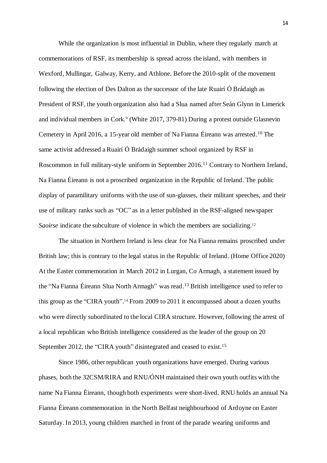While the organization is most influential in Dublin, where they regularly march at commemorations of RSF, its membership is spread across the island, with members in Wexford, Mullingar, Galway, Kerry, and Athlone. Before the 2010-split of the movement following the election of Des Dalton as the successor of the late Ruairí Ó Brádaigh as President of RSF, the youth organization also had a Slua named after Seán Glynn in Limerick and individual members in Cork.<sup>9</sup> (White 2017, 379-81) During a protest outside Glasnevin Cemetery in April 2016, a 15-year old member of Na Fianna Éireann was arrested.<sup>10</sup> The same activist addressed a Ruairí Ó Brádaigh summer school organized by RSF in Roscommon in full military-style uniform in September 2016.<sup>11</sup> Contrary to Northern Ireland, Na Fianna Éireann is not a proscribed organization in the Republic of Ireland. The public display of paramilitary uniforms with the use of sun-glasses, their militant speeches, and their use of military ranks such as "OC" as in a letter published in the RSF-aligned newspaper *Saoirse* indicate the subculture of violence in which the members are socializing.<sup>12</sup>

The situation in Northern Ireland is less clear for Na Fianna remains proscribed under British law; this is contrary to the legal status in the Republic of Ireland. (Home Office 2020) At the Easter commemoration in March 2012 in Lurgan, Co Armagh, a statement issued by the "Na Fianna Éireann Slua North Armagh" was read.<sup>13</sup> British intelligence used to refer to this group as the "CIRA youth". <sup>14</sup> From 2009 to 2011 it encompassed about a dozen youths who were directly subordinated to the local CIRA structure. However, following the arrest of a local republican who British intelligence considered as the leader of the group on 20 September 2012, the "CIRA youth" disintegrated and ceased to exist.<sup>15</sup>

Since 1986, other republican youth organizations have emerged. During various phases, both the 32CSM/RIRA and RNU/ÓNH maintained their own youth outfits with the name Na Fianna Éireann, though both experiments were short-lived. RNU holds an annual Na Fianna Éireann commemoration in the North Belfast neighbourhood of Ardoyne on Easter Saturday. In 2013, young children marched in front of the parade wearing uniforms and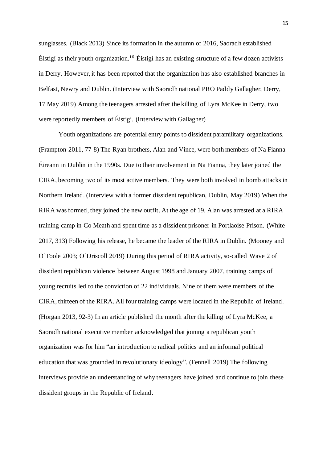sunglasses. (Black 2013) Since its formation in the autumn of 2016, Saoradh established Éistigí as their youth organization. <sup>16</sup> Éistigí has an existing structure of a few dozen activists in Derry. However, it has been reported that the organization has also established branches in Belfast, Newry and Dublin. (Interview with Saoradh national PRO Paddy Gallagher, Derry, 17 May 2019) Among the teenagers arrested after the killing of Lyra McKee in Derry, two were reportedly members of Éistigí. (Interview with Gallagher)

Youth organizations are potential entry points to dissident paramilitary organizations. (Frampton 2011, 77-8) The Ryan brothers, Alan and Vince, were both members of Na Fianna Éireann in Dublin in the 1990s. Due to their involvement in Na Fianna, they later joined the CIRA, becoming two of its most active members. They were both involved in bomb attacks in Northern Ireland. (Interview with a former dissident republican, Dublin, May 2019) When the RIRA was formed, they joined the new outfit. At the age of 19, Alan was arrested at a RIRA training camp in Co Meath and spent time as a dissident prisoner in Portlaoise Prison. (White 2017, 313) Following his release, he became the leader of the RIRA in Dublin. (Mooney and O'Toole 2003; O'Driscoll 2019) During this period of RIRA activity, so-called Wave 2 of dissident republican violence between August 1998 and January 2007, training camps of young recruits led to the conviction of 22 individuals. Nine of them were members of the CIRA, thirteen of the RIRA. All four training camps were located in the Republic of Ireland. (Horgan 2013, 92-3) In an article published the month after the killing of Lyra McKee, a Saoradh national executive member acknowledged that joining a republican youth organization was for him "an introduction to radical politics and an informal political education that was grounded in revolutionary ideology". (Fennell 2019) The following interviews provide an understanding of why teenagers have joined and continue to join these dissident groups in the Republic of Ireland.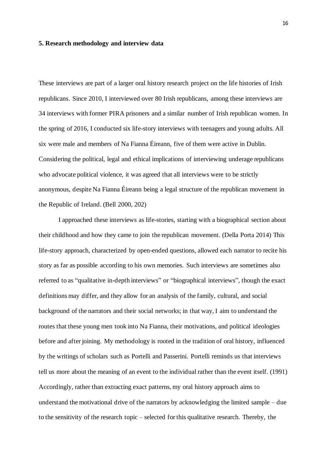#### **5. Research methodology and interview data**

These interviews are part of a larger oral history research project on the life histories of Irish republicans. Since 2010, I interviewed over 80 Irish republicans, among these interviews are 34 interviews with former PIRA prisoners and a similar number of Irish republican women. In the spring of 2016, I conducted six life-story interviews with teenagers and young adults. All six were male and members of Na Fianna Éireann, five of them were active in Dublin. Considering the political, legal and ethical implications of interviewing underage republicans who advocate political violence, it was agreed that all interviews were to be strictly anonymous, despite Na Fianna Éireann being a legal structure of the republican movement in the Republic of Ireland. (Bell 2000, 202)

I approached these interviews as life-stories, starting with a biographical section about their childhood and how they came to join the republican movement. (Della Porta 2014) This life-story approach, characterized by open-ended questions, allowed each narrator to recite his story as far as possible according to his own memories. Such interviews are sometimes also referred to as "qualitative in-depth interviews" or "biographical interviews", though the exact definitions may differ, and they allow for an analysis of the family, cultural, and social background of the narrators and their social networks; in that way, I aim to understand the routes that these young men took into Na Fianna, their motivations, and political ideologies before and after joining. My methodology is rooted in the tradition of oral history, influenced by the writings of scholars such as Portelli and Passerini. Portelli reminds us that interviews tell us more about the meaning of an event to the individual rather than the event itself. (1991) Accordingly, rather than extracting exact patterns, my oral history approach aims to understand the motivational drive of the narrators by acknowledging the limited sample – due to the sensitivity of the research topic – selected for this qualitative research. Thereby, the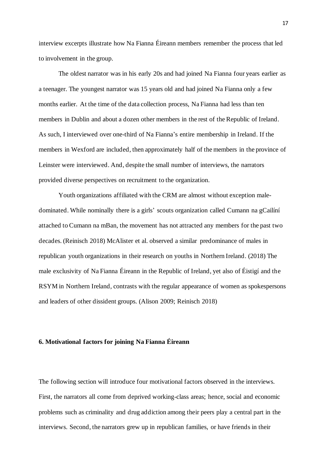interview excerpts illustrate how Na Fianna Éireann members remember the process that led to involvement in the group.

The oldest narrator was in his early 20s and had joined Na Fianna four years earlier as a teenager. The youngest narrator was 15 years old and had joined Na Fianna only a few months earlier. At the time of the data collection process, Na Fianna had less than ten members in Dublin and about a dozen other members in the rest of the Republic of Ireland. As such, I interviewed over one-third of Na Fianna's entire membership in Ireland. If the members in Wexford are included, then approximately half of the members in the province of Leinster were interviewed. And, despite the small number of interviews, the narrators provided diverse perspectives on recruitment to the organization.

Youth organizations affiliated with the CRM are almost without exception maledominated. While nominally there is a girls' scouts organization called Cumann na gCailíní attached to Cumann na mBan, the movement has not attracted any members for the past two decades. (Reinisch 2018) McAlister et al. observed a similar predominance of males in republican youth organizations in their research on youths in Northern Ireland. (2018) The male exclusivity of Na Fianna Éireann in the Republic of Ireland, yet also of Éistigí and the RSYM in Northern Ireland, contrasts with the regular appearance of women as spokespersons and leaders of other dissident groups. (Alison 2009; Reinisch 2018)

## **6. Motivational factors for joining Na Fianna Éireann**

The following section will introduce four motivational factors observed in the interviews. First, the narrators all come from deprived working-class areas; hence, social and economic problems such as criminality and drug addiction among their peers play a central part in the interviews. Second, the narrators grew up in republican families, or have friends in their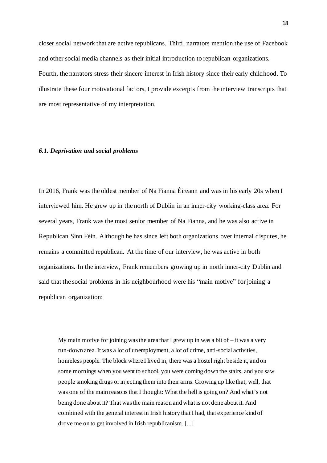closer social network that are active republicans. Third, narrators mention the use of Facebook and other social media channels as their initial introduction to republican organizations. Fourth, the narrators stress their sincere interest in Irish history since their early childhood. To illustrate these four motivational factors, I provide excerpts from the interview transcripts that are most representative of my interpretation.

### *6.1. Deprivation and social problems*

In 2016, Frank was the oldest member of Na Fianna Éireann and was in his early 20s when I interviewed him. He grew up in the north of Dublin in an inner-city working-class area. For several years, Frank was the most senior member of Na Fianna, and he was also active in Republican Sinn Féin. Although he has since left both organizations over internal disputes, he remains a committed republican. At the time of our interview, he was active in both organizations. In the interview, Frank remembers growing up in north inner-city Dublin and said that the social problems in his neighbourhood were his "main motive" for joining a republican organization:

My main motive for joining was the area that I grew up in was a bit of  $-$  it was a very run-down area. It was a lot of unemployment, a lot of crime, anti-social activities, homeless people. The block where I lived in, there was a hostel right beside it, and on some mornings when you went to school, you were coming down the stairs, and you saw people smoking drugs or injecting them into their arms. Growing up like that, well, that was one of the main reasons that I thought: What the hell is going on? And what's not being done about it? That was the main reason and what is not done about it. And combined with the general interest in Irish history that I had, that experience kind of drove me on to get involved in Irish republicanism. [...]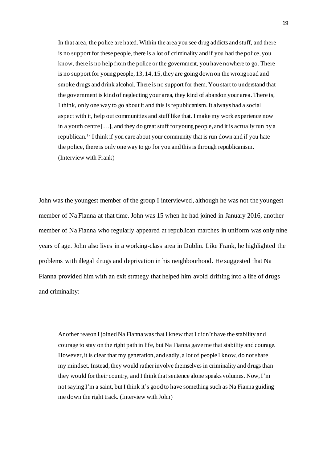In that area, the police are hated. Within the area you see drug addicts and stuff, and there is no support for these people, there is a lot of criminality and if you had the police, you know, there is no help from the police or the government, you have nowhere to go. There is no support for young people, 13, 14, 15, they are going down on the wrong road and smoke drugs and drink alcohol. There is no support for them. You start to understand that the government is kind of neglecting your area, they kind of abandon your area. There is, I think, only one way to go about it and this is republicanism. It always had a social aspect with it, help out communities and stuff like that. I make my work experience now in a youth centre […], and they do great stuff for young people, and it is actually run by a republican.<sup>17</sup> I think if you care about your community that is run down and if you hate the police, there is only one way to go for you and this is through republicanism. (Interview with Frank)

John was the youngest member of the group I interviewed, although he was not the youngest member of Na Fianna at that time. John was 15 when he had joined in January 2016, another member of Na Fianna who regularly appeared at republican marches in uniform was only nine years of age. John also lives in a working-class area in Dublin. Like Frank, he highlighted the problems with illegal drugs and deprivation in his neighbourhood. He suggested that Na Fianna provided him with an exit strategy that helped him avoid drifting into a life of drugs and criminality:

Another reason I joined Na Fianna was that I knew that I didn't have the stability and courage to stay on the right path in life, but Na Fianna gave me that stability and courage. However, it is clear that my generation, and sadly, a lot of people I know, do not share my mindset. Instead, they would rather involve themselves in criminality and drugs than they would for their country, and I think that sentence alone speaks volumes. Now, I'm not saying I'm a saint, but I think it's good to have something such as Na Fianna guiding me down the right track. (Interview with John)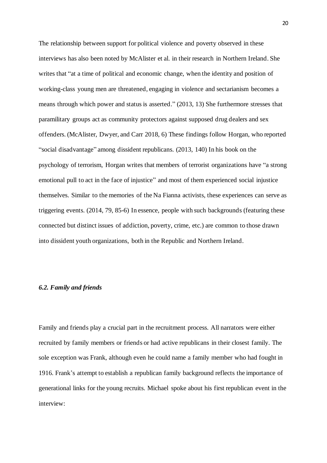The relationship between support for political violence and poverty observed in these interviews has also been noted by McAlister et al. in their research in Northern Ireland. She writes that "at a time of political and economic change, when the identity and position of working-class young men are threatened, engaging in violence and sectarianism becomes a means through which power and status is asserted." (2013, 13) She furthermore stresses that paramilitary groups act as community protectors against supposed drug dealers and sex offenders. (McAlister, Dwyer, and Carr 2018, 6) These findings follow Horgan, who reported "social disadvantage" among dissident republicans. (2013, 140) In his book on the psychology of terrorism, Horgan writes that members of terrorist organizations have "a strong emotional pull to act in the face of injustice" and most of them experienced social injustice themselves. Similar to the memories of the Na Fianna activists, these experiences can serve as triggering events. (2014, 79, 85-6) In essence, people with such backgrounds (featuring these connected but distinct issues of addiction, poverty, crime, etc.) are common to those drawn into dissident youth organizations, both in the Republic and Northern Ireland.

## *6.2. Family and friends*

Family and friends play a crucial part in the recruitment process. All narrators were either recruited by family members or friends or had active republicans in their closest family. The sole exception was Frank, although even he could name a family member who had fought in 1916. Frank's attempt to establish a republican family background reflects the importance of generational links for the young recruits. Michael spoke about his first republican event in the interview: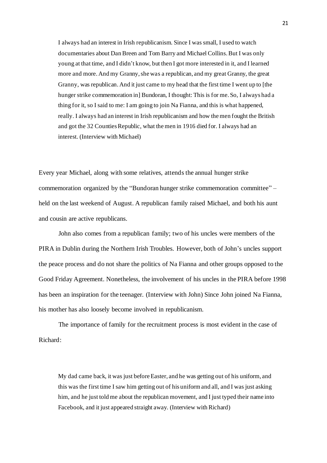I always had an interest in Irish republicanism. Since I was small, I used to watch documentaries about Dan Breen and Tom Barry and Michael Collins. But I was only young at that time, and I didn't know, but then I got more interested in it, and I learned more and more. And my Granny, she was a republican, and my great Granny, the great Granny, was republican. And it just came to my head that the first time I went up to [the hunger strike commemoration in] Bundoran, I thought: This is for me. So, I always had a thing for it, so I said to me: I am going to join Na Fianna, and this is what happened, really. I always had an interest in Irish republicanism and how the men fought the British and got the 32 Counties Republic, what the men in 1916 died for. I always had an interest. (Interview with Michael)

Every year Michael, along with some relatives, attends the annual hunger strike commemoration organized by the "Bundoran hunger strike commemoration committee" – held on the last weekend of August. A republican family raised Michael, and both his aunt and cousin are active republicans.

John also comes from a republican family; two of his uncles were members of the PIRA in Dublin during the Northern Irish Troubles. However, both of John's uncles support the peace process and do not share the politics of Na Fianna and other groups opposed to the Good Friday Agreement. Nonetheless, the involvement of his uncles in the PIRA before 1998 has been an inspiration for the teenager. (Interview with John) Since John joined Na Fianna, his mother has also loosely become involved in republicanism.

The importance of family for the recruitment process is most evident in the case of Richard:

My dad came back, it was just before Easter, and he was getting out of his uniform, and this was the first time I saw him getting out of his uniform and all, and I was just asking him, and he just told me about the republican movement, and I just typed their name into Facebook, and it just appeared straight away. (Interview with Richard)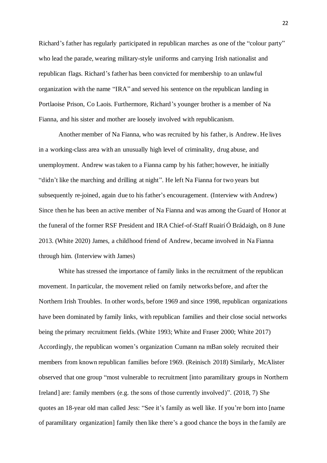Richard's father has regularly participated in republican marches as one of the "colour party" who lead the parade, wearing military-style uniforms and carrying Irish nationalist and republican flags. Richard's father has been convicted for membership to an unlawful organization with the name "IRA" and served his sentence on the republican landing in Portlaoise Prison, Co Laois. Furthermore, Richard's younger brother is a member of Na Fianna, and his sister and mother are loosely involved with republicanism.

Another member of Na Fianna, who was recruited by his father, is Andrew. He lives in a working-class area with an unusually high level of criminality, drug abuse, and unemployment. Andrew was taken to a Fianna camp by his father; however, he initially "didn't like the marching and drilling at night". He left Na Fianna for two years but subsequently re-joined, again due to his father's encouragement. (Interview with Andrew) Since then he has been an active member of Na Fianna and was among the Guard of Honor at the funeral of the former RSF President and IRA Chief-of-Staff Ruairí Ó Brádaigh, on 8 June 2013. (White 2020) James, a childhood friend of Andrew, became involved in Na Fianna through him. (Interview with James)

White has stressed the importance of family links in the recruitment of the republican movement. In particular, the movement relied on family networks before, and after the Northern Irish Troubles. In other words, before 1969 and since 1998, republican organizations have been dominated by family links, with republican families and their close social networks being the primary recruitment fields. (White 1993; White and Fraser 2000; White 2017) Accordingly, the republican women's organization Cumann na mBan solely recruited their members from known republican families before 1969. (Reinisch 2018) Similarly, McAlister observed that one group "most vulnerable to recruitment [into paramilitary groups in Northern Ireland] are: family members (e.g. the sons of those currently involved)". (2018, 7) She quotes an 18-year old man called Jess: "See it's family as well like. If you're born into [name of paramilitary organization] family then like there's a good chance the boys in the family are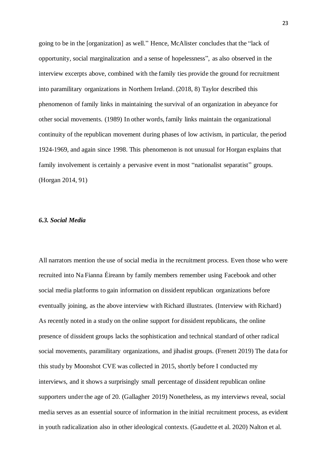going to be in the [organization] as well." Hence, McAlister concludes that the "lack of opportunity, social marginalization and a sense of hopelessness", as also observed in the interview excerpts above, combined with the family ties provide the ground for recruitment into paramilitary organizations in Northern Ireland. (2018, 8) Taylor described this phenomenon of family links in maintaining the survival of an organization in abeyance for other social movements. (1989) In other words, family links maintain the organizational continuity of the republican movement during phases of low activism, in particular, the period 1924-1969, and again since 1998. This phenomenon is not unusual for Horgan explains that family involvement is certainly a pervasive event in most "nationalist separatist" groups. (Horgan 2014, 91)

## *6.3. Social Media*

All narrators mention the use of social media in the recruitment process. Even those who were recruited into Na Fianna Éireann by family members remember using Facebook and other social media platforms to gain information on dissident republican organizations before eventually joining, as the above interview with Richard illustrates. (Interview with Richard) As recently noted in a study on the online support for dissident republicans, the online presence of dissident groups lacks the sophistication and technical standard of other radical social movements, paramilitary organizations, and jihadist groups. (Frenett 2019) The data for this study by Moonshot CVE was collected in 2015, shortly before I conducted my interviews, and it shows a surprisingly small percentage of dissident republican online supporters under the age of 20. (Gallagher 2019) Nonetheless, as my interviews reveal, social media serves as an essential source of information in the initial recruitment process, as evident in youth radicalization also in other ideological contexts. (Gaudette et al. 2020) Nalton et al.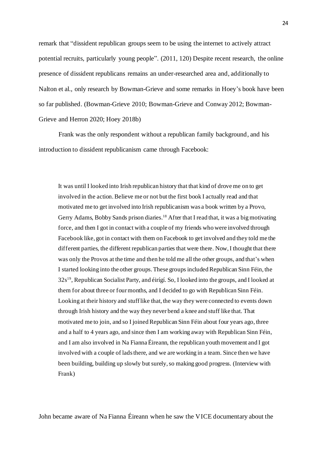remark that "dissident republican groups seem to be using the internet to actively attract potential recruits, particularly young people". (2011, 120) Despite recent research, the online presence of dissident republicans remains an under-researched area and, additionally to Nalton et al., only research by Bowman-Grieve and some remarks in Hoey's book have been so far published. (Bowman-Grieve 2010; Bowman-Grieve and Conway 2012; Bowman-Grieve and Herron 2020; Hoey 2018b)

Frank was the only respondent without a republican family background, and his introduction to dissident republicanism came through Facebook:

It was until I looked into Irish republican history that that kind of drove me on to get involved in the action. Believe me or not but the first book I actually read and that motivated me to get involved into Irish republicanism was a book written by a Provo, Gerry Adams, Bobby Sands prison diaries.<sup>18</sup> After that I read that, it was a big motivating force, and then I got in contact with a couple of my friends who were involved through Facebook like, got in contact with them on Facebook to get involved and they told me the different parties, the different republican parties that were there. Now, I thought that there was only the Provos at the time and then he told me all the other groups, and that's when I started looking into the other groups. These groups included Republican Sinn Féin, the 32s<sup>19</sup>, Republican Socialist Party, and éirígí. So, I looked into the groups, and I looked at them for about three or four months, and I decided to go with Republican Sinn Féin. Looking at their history and stuff like that, the way they were connected to events down through Irish history and the way they never bend a knee and stuff like that. That motivated me to join, and so I joined Republican Sinn Féin about four years ago, three and a half to 4 years ago, and since then I am working away with Republican Sinn Féin, and I am also involved in Na Fianna Éireann, the republican youth movement and I got involved with a couple of lads there, and we are working in a team. Since then we have been building, building up slowly but surely, so making good progress. (Interview with Frank)

John became aware of Na Fianna Éireann when he saw the VICE documentary about the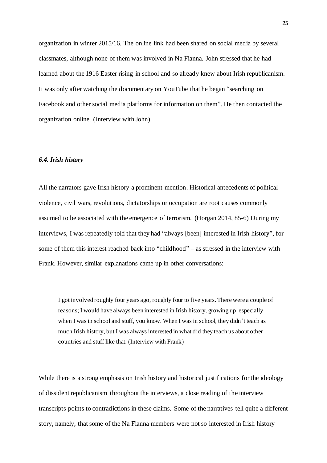organization in winter 2015/16. The online link had been shared on social media by several classmates, although none of them was involved in Na Fianna. John stressed that he had learned about the 1916 Easter rising in school and so already knew about Irish republicanism. It was only after watching the documentary on YouTube that he began "searching on Facebook and other social media platforms for information on them". He then contacted the organization online. (Interview with John)

## *6.4. Irish history*

All the narrators gave Irish history a prominent mention. Historical antecedents of political violence, civil wars, revolutions, dictatorships or occupation are root causes commonly assumed to be associated with the emergence of terrorism. (Horgan 2014, 85-6) During my interviews, I was repeatedly told that they had "always [been] interested in Irish history", for some of them this interest reached back into "childhood" – as stressed in the interview with Frank. However, similar explanations came up in other conversations:

I got involved roughly four years ago, roughly four to five years. There were a couple of reasons; I would have always been interested in Irish history, growing up, especially when I was in school and stuff, you know. When I was in school, they didn't teach as much Irish history, but I was always interested in what did they teach us about other countries and stuff like that. (Interview with Frank)

While there is a strong emphasis on Irish history and historical justifications for the ideology of dissident republicanism throughout the interviews, a close reading of the interview transcripts points to contradictions in these claims. Some of the narratives tell quite a different story, namely, that some of the Na Fianna members were not so interested in Irish history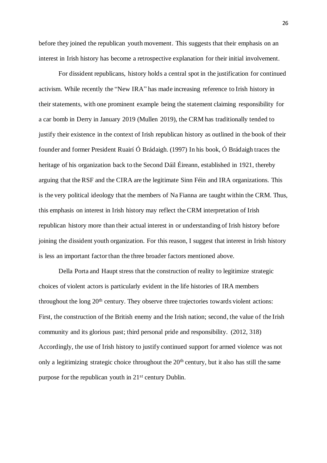before they joined the republican youth movement. This suggests that their emphasis on an interest in Irish history has become a retrospective explanation for their initial involvement.

For dissident republicans, history holds a central spot in the justification for continued activism. While recently the "New IRA" has made increasing reference to Irish history in their statements, with one prominent example being the statement claiming responsibility for a car bomb in Derry in January 2019 (Mullen 2019), the CRM has traditionally tended to justify their existence in the context of Irish republican history as outlined in the book of their founder and former President Ruairí Ó Brádaigh. (1997) In his book, Ó Brádaigh traces the heritage of his organization back to the Second Dáil Éireann, established in 1921, thereby arguing that the RSF and the CIRA are the legitimate Sinn Féin and IRA organizations. This is the very political ideology that the members of Na Fianna are taught within the CRM. Thus, this emphasis on interest in Irish history may reflect the CRM interpretation of Irish republican history more than their actual interest in or understanding of Irish history before joining the dissident youth organization. For this reason, I suggest that interest in Irish history is less an important factor than the three broader factors mentioned above.

Della Porta and Haupt stress that the construction of reality to legitimize strategic choices of violent actors is particularly evident in the life histories of IRA members throughout the long 20<sup>th</sup> century. They observe three trajectories towards violent actions: First, the construction of the British enemy and the Irish nation; second, the value of the Irish community and its glorious past; third personal pride and responsibility. (2012, 318) Accordingly, the use of Irish history to justify continued support for armed violence was not only a legitimizing strategic choice throughout the  $20<sup>th</sup>$  century, but it also has still the same purpose for the republican youth in 21st century Dublin.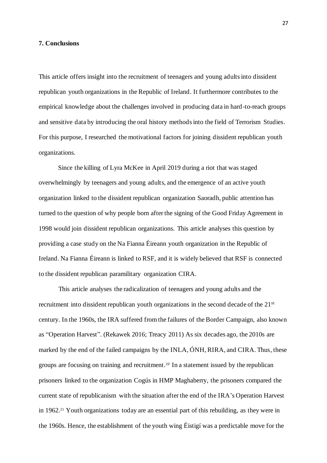### **7. Conclusions**

This article offers insight into the recruitment of teenagers and young adults into dissident republican youth organizations in the Republic of Ireland. It furthermore contributes to the empirical knowledge about the challenges involved in producing data in hard-to-reach groups and sensitive data by introducing the oral history methods into the field of Terrorism Studies. For this purpose, I researched the motivational factors for joining dissident republican youth organizations.

Since the killing of Lyra McKee in April 2019 during a riot that was staged overwhelmingly by teenagers and young adults, and the emergence of an active youth organization linked to the dissident republican organization Saoradh, public attention has turned to the question of why people born after the signing of the Good Friday Agreement in 1998 would join dissident republican organizations. This article analyses this question by providing a case study on the Na Fianna Éireann youth organization in the Republic of Ireland. Na Fianna Éireann is linked to RSF, and it is widely believed that RSF is connected to the dissident republican paramilitary organization CIRA.

This article analyses the radicalization of teenagers and young adults and the recruitment into dissident republican youth organizations in the second decade of the 21st century. In the 1960s, the IRA suffered from the failures of the Border Campaign, also known as "Operation Harvest". (Rekawek 2016; Treacy 2011) As six decades ago, the 2010s are marked by the end of the failed campaigns by the INLA, ÓNH, RIRA, and CIRA. Thus, these groups are focusing on training and recruitment.<sup>20</sup> In a statement issued by the republican prisoners linked to the organization Cogús in HMP Maghaberry, the prisoners compared the current state of republicanism with the situation after the end of the IRA's Operation Harvest in 1962.<sup>21</sup> Youth organizations today are an essential part of this rebuilding, as they were in the 1960s. Hence, the establishment of the youth wing Éistigí was a predictable move for the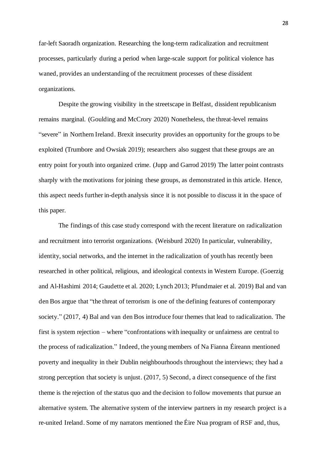far-left Saoradh organization. Researching the long-term radicalization and recruitment processes, particularly during a period when large-scale support for political violence has waned, provides an understanding of the recruitment processes of these dissident organizations.

Despite the growing visibility in the streetscape in Belfast, dissident republicanism remains marginal. (Goulding and McCrory 2020) Nonetheless, the threat-level remains "severe" in Northern Ireland. Brexit insecurity provides an opportunity for the groups to be exploited (Trumbore and Owsiak 2019); researchers also suggest that these groups are an entry point for youth into organized crime. (Jupp and Garrod 2019) The latter point contrasts sharply with the motivations for joining these groups, as demonstrated in this article. Hence, this aspect needs further in-depth analysis since it is not possible to discuss it in the space of this paper.

The findings of this case study correspond with the recent literature on radicalization and recruitment into terrorist organizations. (Weisburd 2020) In particular, vulnerability, identity, social networks, and the internet in the radicalization of youth has recently been researched in other political, religious, and ideological contexts in Western Europe. (Goerzig and Al-Hashimi 2014; Gaudette et al. 2020; Lynch 2013; Pfundmaier et al. 2019) Bal and van den Bos argue that "the threat of terrorism is one of the defining features of contemporary society." (2017, 4) Bal and van den Bos introduce four themes that lead to radicalization. The first is system rejection – where "confrontations with inequality or unfairness are central to the process of radicalization." Indeed, the young members of Na Fianna Éireann mentioned poverty and inequality in their Dublin neighbourhoods throughout the interviews; they had a strong perception that society is unjust. (2017, 5) Second, a direct consequence of the first theme is the rejection of the status quo and the decision to follow movements that pursue an alternative system. The alternative system of the interview partners in my research project is a re-united Ireland. Some of my narrators mentioned the Éire Nua program of RSF and, thus,

28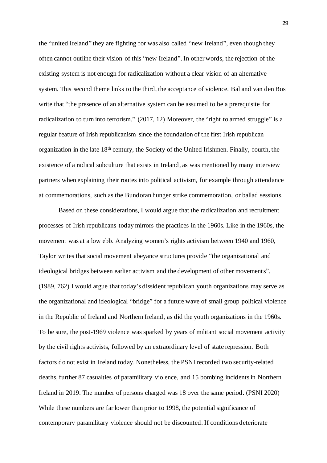the "united Ireland" they are fighting for was also called "new Ireland", even though they often cannot outline their vision of this "new Ireland". In other words, the rejection of the existing system is not enough for radicalization without a clear vision of an alternative system. This second theme links to the third, the acceptance of violence. Bal and van den Bos write that "the presence of an alternative system can be assumed to be a prerequisite for radicalization to turn into terrorism." (2017, 12) Moreover, the "right to armed struggle" is a regular feature of Irish republicanism since the foundation of the first Irish republican organization in the late 18th century, the Society of the United Irishmen. Finally, fourth, the existence of a radical subculture that exists in Ireland, as was mentioned by many interview partners when explaining their routes into political activism, for example through attendance at commemorations, such as the Bundoran hunger strike commemoration, or ballad sessions.

Based on these considerations, I would argue that the radicalization and recruitment processes of Irish republicans today mirrors the practices in the 1960s. Like in the 1960s, the movement was at a low ebb. Analyzing women's rights activism between 1940 and 1960, Taylor writes that social movement abeyance structures provide "the organizational and ideological bridges between earlier activism and the development of other movements". (1989, 762) I would argue that today's dissident republican youth organizations may serve as the organizational and ideological "bridge" for a future wave of small group political violence in the Republic of Ireland and Northern Ireland, as did the youth organizations in the 1960s. To be sure, the post-1969 violence was sparked by years of militant social movement activity by the civil rights activists, followed by an extraordinary level of state repression. Both factors do not exist in Ireland today. Nonetheless, the PSNI recorded two security-related deaths, further 87 casualties of paramilitary violence, and 15 bombing incidents in Northern Ireland in 2019. The number of persons charged was 18 over the same period. (PSNI 2020) While these numbers are far lower than prior to 1998, the potential significance of contemporary paramilitary violence should not be discounted. If conditions deteriorate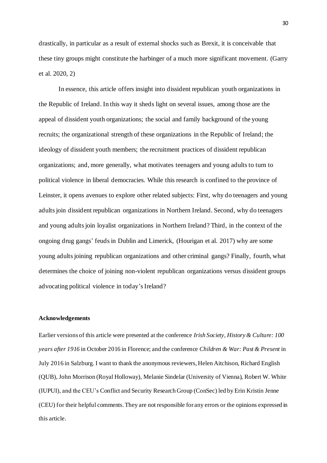drastically, in particular as a result of external shocks such as Brexit, it is conceivable that these tiny groups might constitute the harbinger of a much more significant movement. (Garry et al. 2020, 2)

In essence, this article offers insight into dissident republican youth organizations in the Republic of Ireland. In this way it sheds light on several issues, among those are the appeal of dissident youth organizations; the social and family background of the young recruits; the organizational strength of these organizations in the Republic of Ireland; the ideology of dissident youth members; the recruitment practices of dissident republican organizations; and, more generally, what motivates teenagers and young adultsto turn to political violence in liberal democracies. While this research is confined to the province of Leinster, it opens avenues to explore other related subjects: First, why do teenagers and young adults join dissident republican organizations in Northern Ireland. Second, why do teenagers and young adults join loyalist organizations in Northern Ireland? Third, in the context of the ongoing drug gangs' feudsin Dublin and Limerick, (Hourigan et al. 2017) why are some young adults joining republican organizations and other criminal gangs? Finally, fourth, what determines the choice of joining non-violent republican organizations versus dissident groups advocating political violence in today's Ireland?

## **Acknowledgements**

Earlier versions of this article were presented at the conference *Irish Society, History & Culture: 100 years after 1916* in October 2016 in Florence; and the conference *Children & War: Past & Present* in July 2016 in Salzburg. I want to thank the anonymous reviewers, Helen Aitchison, Richard English (QUB), John Morrison (Royal Holloway), Melanie Sindelar (University of Vienna), Robert W. White (IUPUI), and the CEU's Conflict and Security Research Group (ConSec) led by Erin Kristin Jenne (CEU) for their helpful comments. They are not responsible for any errors or the opinions expressed in this article.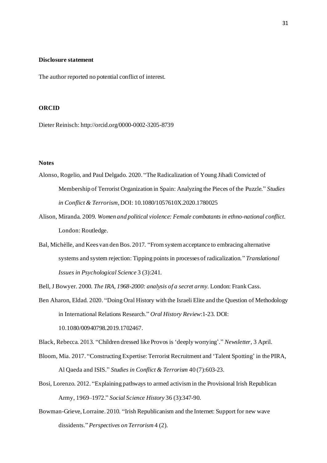#### **Disclosure statement**

The author reported no potential conflict of interest.

## **ORCID**

Dieter Reinisch: http://orcid.org/0000-0002-3205-8739

## **Notes**

- Alonso, Rogelio, and Paul Delgado. 2020. "The Radicalization of Young Jihadi Convicted of Membership of Terrorist Organization in Spain: Analyzing the Pieces of the Puzzle." *Studies in Conflict & Terrorism*, DOI: 10.1080/1057610X.2020.1780025
- Alison, Miranda. 2009. *Women and political violence: Female combatants in ethno-national conflict*. London: Routledge.
- Bal, Michèlle, and Kees van den Bos. 2017. "From system acceptance to embracing alternative systems and system rejection: Tipping points in processes of radicalization." *Translational Issues in Psychological Science* 3 (3):241.

Bell, J Bowyer. 2000. *The IRA, 1968-2000: analysis of a secret army*. London: Frank Cass.

Ben Aharon, Eldad. 2020. "Doing Oral History with the Israeli Elite and the Question of Methodology in International Relations Research." *Oral History Review*:1-23. DOI: 10.1080/00940798.2019.1702467.

Black, Rebecca. 2013. "Children dressed like Provos is 'deeply worrying'." *Newsletter*, 3 April.

- Bloom, Mia. 2017. "Constructing Expertise: Terrorist Recruitment and 'Talent Spotting' in the PIRA, Al Qaeda and ISIS." *Studies in Conflict & Terrorism* 40 (7):603-23.
- Bosi, Lorenzo. 2012. "Explaining pathways to armed activism in the Provisional Irish Republican Army, 1969–1972." *Social Science History* 36 (3):347-90.
- Bowman-Grieve, Lorraine. 2010. "Irish Republicanism and the Internet: Support for new wave dissidents." *Perspectives on Terrorism* 4 (2).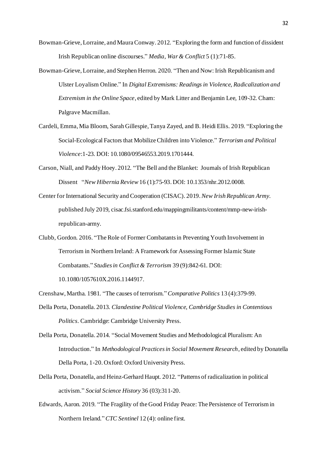- Bowman-Grieve, Lorraine, and Maura Conway. 2012. "Exploring the form and function of dissident Irish Republican online discourses." *Media, War & Conflict* 5 (1):71-85.
- Bowman-Grieve, Lorraine, and Stephen Herron. 2020. "Then and Now: Irish Republicanism and Ulster Loyalism Online." In *Digital Extremisms: Readings in Violence, Radicalization and Extremism in the Online Space*, edited by Mark Litter and Benjamin Lee, 109-32. Cham: Palgrave Macmillan.
- Cardeli, Emma, Mia Bloom, Sarah Gillespie, Tanya Zayed, and B. Heidi Ellis. 2019. "Exploring the Social-Ecological Factors that Mobilize Children into Violence." *Terrorism and Political Violence*:1-23. DOI: 10.1080/09546553.2019.1701444.
- Carson, Niall, and Paddy Hoey. 2012. "The Bell and the Blanket: Journals of Irish Republican Dissent "*New Hibernia Review*16 (1):75-93. DOI: 10.1353/nhr.2012.0008.
- Center for International Security and Cooperation (CISAC). 2019.*New Irish Republican Army*. published July 2019, cisac.fsi.stanford.edu/mappingmilitants/content/mmp-new-irishrepublican-army.
- Clubb, Gordon. 2016. "The Role of Former Combatants in Preventing Youth Involvement in Terrorism in Northern Ireland: A Framework for Assessing Former Islamic State Combatants." *Studies in Conflict & Terrorism* 39 (9):842-61. DOI:

10.1080/1057610X.2016.1144917.

Crenshaw, Martha. 1981. "The causes of terrorism."*Comparative Politics* 13 (4):379-99.

- Della Porta, Donatella. 2013. *Clandestine Political Violence*, *Cambridge Studies in Contentious Politics*. Cambridge: Cambridge University Press.
- Della Porta, Donatella. 2014. "Social Movement Studies and Methodological Pluralism: An Introduction." In *Methodological Practices in Social Movement Research*, edited by Donatella Della Porta, 1-20. Oxford: Oxford University Press.
- Della Porta, Donatella, and Heinz-Gerhard Haupt. 2012. "Patterns of radicalization in political activism." *Social Science History* 36 (03):311-20.
- Edwards, Aaron. 2019. "The Fragility of the Good Friday Peace: The Persistence of Terrorism in Northern Ireland."*CTC Sentinel* 12 (4): online first.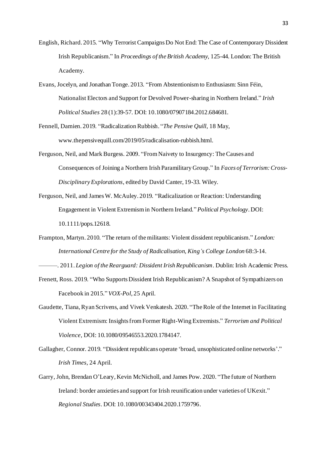- English, Richard. 2015. "Why Terrorist Campaigns Do Not End: The Case of Contemporary Dissident Irish Republicanism." In *Proceedings of the British Academy*, 125-44. London: The British Academy.
- Evans, Jocelyn, and Jonathan Tonge. 2013. "From Abstentionism to Enthusiasm: Sinn Féin, Nationalist Electors and Support for Devolved Power-sharing in Northern Ireland." *Irish Political Studies* 28 (1):39-57. DOI: 10.1080/07907184.2012.684681.
- Fennell, Damien. 2019. "Radicalization Rubbish. "*The Pensive Quill*, 18 May, www.thepensivequill.com/2019/05/radicalisation-rubbish.html.
- Ferguson, Neil, and Mark Burgess. 2009. "From Naivety to Insurgency: The Causes and Consequences of Joining a Northern Irish Paramilitary Group." In *Faces of Terrorism: Cross-Disciplinary Explorations*, edited by David Canter, 19-33. Wiley.
- Ferguson, Neil, and James W. McAuley. 2019. "Radicalization or Reaction: Understanding Engagement in Violent Extremism in Northern Ireland." *Political Psychology*. DOI: 10.1111/pops.12618.
- Frampton, Martyn. 2010. "The return of the militants: Violent dissident republicanism." *London: International Centre for the Study of Radicalisation, King's College London* 68:3-14.

———. 2011. *Legion of the Rearguard: Dissident Irish Republicanism*. Dublin: Irish Academic Press.

- Frenett, Ross. 2019. "Who Supports Dissident Irish Republicanism? A Snapshot of Sympathizers on Facebook in 2015." *VOX-Pol*, 25 April.
- Gaudette, Tiana, Ryan Scrivens, and Vivek Venkatesh. 2020. "The Role of the Internet in Facilitating Violent Extremism: Insights from Former Right-Wing Extremists." *Terrorism and Political Violence*, DOI: 10.1080/09546553.2020.1784147.
- Gallagher, Connor. 2019. "Dissident republicans operate 'broad, unsophisticated online networks'." *Irish Times*, 24 April.
- Garry, John, Brendan O'Leary, Kevin McNicholl, and James Pow. 2020. "The future of Northern Ireland: border anxieties and support for Irish reunification under varieties of UKexit." *Regional Studies*. DOI: 10.1080/00343404.2020.1759796.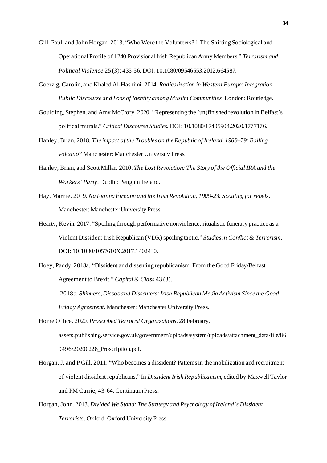- Gill, Paul, and John Horgan. 2013. "Who Were the Volunteers? 1 The Shifting Sociological and Operational Profile of 1240 Provisional Irish Republican Army Members." *Terrorism and Political Violence* 25 (3): 435-56. DOI: 10.1080/09546553.2012.664587.
- Goerzig, Carolin, and Khaled Al-Hashimi. 2014. *Radicalization in Western Europe: Integration, Public Discourse and Loss of Identity among Muslim Communities*. London: Routledge.
- Goulding, Stephen, and Amy McCrory. 2020. "Representing the (un)finished revolution in Belfast's political murals." *Critical Discourse Studies*. DOI: 10.1080/17405904.2020.1777176.
- Hanley, Brian. 2018. *The impact of the Troubles on the Republic of Ireland, 1968–79: Boiling volcano?* Manchester: Manchester University Press.
- Hanley, Brian, and Scott Millar. 2010. *The Lost Revolution: The Story of the Official IRA and the Workers' Party*. Dublin: Penguin Ireland.
- Hay, Marnie. 2019. *Na Fianna Éireann and the Irish Revolution, 1909-23: Scouting for rebels*. Manchester: Manchester University Press.
- Hearty, Kevin. 2017. "Spoiling through performative nonviolence: ritualistic funerary practice as a Violent Dissident Irish Republican (VDR) spoiling tactic." *Studies in Conflict & Terrorism*. DOI: 10.1080/1057610X.2017.1402430.
- Hoey, Paddy. 2018a. "Dissident and dissenting republicanism: From the Good Friday/Belfast Agreement to Brexit." *Capital & Class* 43 (3).
- ———. 2018b. *Shinners, Dissos and Dissenters: Irish Republican Media Activism Since the Good Friday Agreement*. Manchester: Manchester University Press.
- Home Office. 2020. *Proscribed Terrorist Organizations*. 28 February, assets.publishing.service.gov.uk/government/uploads/system/uploads/attachment\_data/file/86 9496/20200228\_Proscription.pdf.
- Horgan, J, and P Gill. 2011. "Who becomes a dissident? Patterns in the mobilization and recruitment of violent dissident republicans." In *Dissident Irish Republicanism*, edited by Maxwell Taylor and PM Currie, 43-64. Continuum Press.
- Horgan, John. 2013. *Divided We Stand: The Strategy and Psychology of Ireland's Dissident Terrorists*. Oxford: Oxford University Press.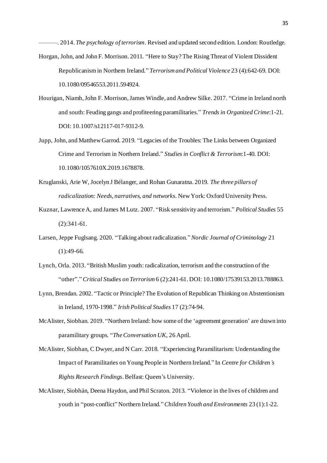———. 2014. *The psychology of terrorism*. Revised and updated second edition. London: Routledge. Horgan, John, and John F. Morrison. 2011. "Here to Stay? The Rising Threat of Violent Dissident

Republicanism in Northern Ireland." *Terrorism and Political Violence* 23 (4):642-69. DOI: 10.1080/09546553.2011.594924.

- Hourigan, Niamh, John F. Morrison, James Windle, and Andrew Silke. 2017. "Crime in Ireland north and south: Feuding gangs and profiteering paramilitaries." *Trends in Organized Crime*:1-21. DOI: 10.1007/s12117-017-9312-9.
- Jupp, John, and Matthew Garrod. 2019. "Legacies of the Troubles: The Links between Organized Crime and Terrorism in Northern Ireland." *Studies in Conflict & Terrorism*:1-40. DOI: 10.1080/1057610X.2019.1678878.
- Kruglanski, Arie W, Jocelyn J Bélanger, and Rohan Gunaratna. 2019. *The three pillars of radicalization: Needs, narratives, and networks*. New York: Oxford University Press.
- Kuznar, Lawrence A, and James M Lutz. 2007. "Risk sensitivity and terrorism." *Political Studies* 55 (2):341-61.
- Larsen, Jeppe Fuglsang. 2020. "Talking about radicalization."*Nordic Journal of Criminology* 21  $(1):49-66.$
- Lynch, Orla. 2013. "British Muslim youth: radicalization, terrorism and the construction of the "other"."*Critical Studies on Terrorism* 6 (2):241-61. DOI: 10.1080/17539153.2013.788863.
- Lynn, Brendan. 2002. "Tactic or Principle? The Evolution of Republican Thinking on Abstentionism in Ireland, 1970-1998." *Irish Political Studies* 17 (2):74-94.
- McAlister, Siobhan. 2019. "Northern Ireland: how some of the 'agreement generation' are drawn into paramilitary groups. "*The Conversation UK*, 26 April.
- McAlister, Siobhan, C Dwyer, and N Carr. 2018. "Experiencing Paramilitarism: Understanding the Impact of Paramilitaries on Young People in Northern Ireland." In *Centre for Children's Rights Research Findings*. Belfast: Queen's University.
- McAlister, Siobhán, Deena Haydon, and Phil Scraton. 2013. "Violence in the lives of children and youth in "post-conflict" Northern Ireland."*Children Youth and Environments* 23 (1):1-22.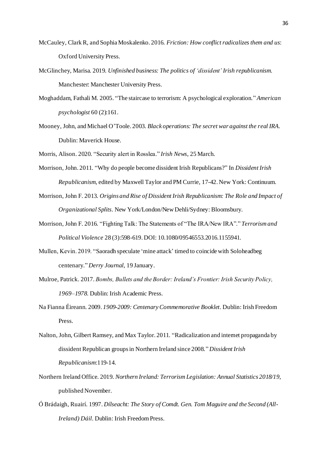- McCauley, Clark R, and Sophia Moskalenko. 2016. *Friction: How conflict radicalizes them and us*: Oxford University Press.
- McGlinchey, Marisa. 2019. *Unfinished business: The politics of 'dissident' Irish republicanism*. Manchester: Manchester University Press.
- Moghaddam, Fathali M. 2005. "The staircase to terrorism: A psychological exploration." *American psychologist* 60 (2):161.
- Mooney, John, and Michael O'Toole. 2003. *Black operations: The secret war against the real IRA*. Dublin: Maverick House.

Morris, Alison. 2020. "Security alert in Rosslea." *Irish News*, 25 March.

- Morrison, John. 2011. "Why do people become dissident Irish Republicans?" In *Dissident Irish Republicanism*, edited by Maxwell Taylor and PM Currie, 17-42. New York: Continuum.
- Morrison, John F. 2013. *Origins and Rise of Dissident Irish Republicanism: The Role and Impact of Organizational Splits*. New York/London/New Dehli/Sydney: Bloomsbury.
- Morrison, John F. 2016. "Fighting Talk: The Statements of "The IRA/New IRA"." *Terrorism and Political Violence* 28 (3):598-619. DOI: 10.1080/09546553.2016.1155941.
- Mullen, Kevin. 2019. "Saoradh speculate 'mine attack' timed to coincide with Soloheadbeg centenary." *Derry Journal*, 19 January.
- Mulroe, Patrick. 2017. *Bombs, Bullets and the Border: Ireland's Frontier: Irish Security Policy, 1969–1978*. Dublin: Irish Academic Press.
- Na Fianna Éireann. 2009. *1909-2009: Centenary Commemorative Booklet*. Dublin: Irish Freedom Press.
- Nalton, John, Gilbert Ramsey, and Max Taylor. 2011. "Radicalization and internet propaganda by dissident Republican groups in Northern Ireland since 2008." *Dissident Irish Republicanism*:119-14.
- Northern Ireland Office. 2019. *Northern Ireland: Terrorism Legislation: Annual Statistics 2018/19*, published November.
- Ó Brádaigh, Ruairí. 1997. *Dílseacht: The Story of Comdt. Gen. Tom Maguire and the Second (All-Ireland) Dáil*. Dublin: Irish Freedom Press.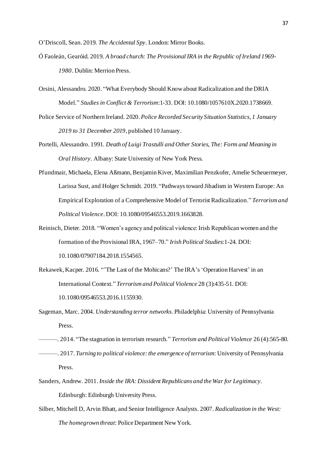O'Driscoll, Sean. 2019. *The Accidental Spy*. London: Mirror Books.

- Ó Faoleán, Gearóid. 2019. *A broad church: The Provisional IRA in the Republic of Ireland 1969- 1980*. Dublin: Merrion Press.
- Orsini, Alessandro. 2020. "What Everybody Should Know about Radicalization and the DRIA Model." *Studies in Conflict & Terrorism*:1-33. DOI: 10.1080/1057610X.2020.1738669.
- Police Service of Northern Ireland. 2020. *Police Recorded Security Situation Statistics, 1 January 2019 to 31 December 2019*, published 10 January.
- Portelli, Alessandro. 1991. *Death of Luigi Trastulli and Other Stories, The: Form and Meaning in Oral History*. Albany: State University of New York Press.
- Pfundmair, Michaela, Elena Aßmann, Benjamin Kiver, Maximilian Penzkofer, Amelie Scheuermeyer, Larissa Sust, and Holger Schmidt. 2019. "Pathways toward Jihadism in Western Europe: An Empirical Exploration of a Comprehensive Model of Terrorist Radicalization." *Terrorism and Political Violence*. DOI: 10.1080/09546553.2019.1663828.
- Reinisch, Dieter. 2018. "Women's agency and political violence: Irish Republican women and the formation of the Provisional IRA, 1967–70." *Irish Political Studies*:1-24. DOI: 10.1080/07907184.2018.1554565.
- Rekawek, Kacper. 2016. "'The Last of the Mohicans?' The IRA's 'Operation Harvest' in an International Context." *Terrorism and Political Violence* 28 (3):435-51. DOI: 10.1080/09546553.2016.1155930.
- Sageman, Marc. 2004. *Understanding terror networks*. Philadelphia: University of Pennsylvania Press.
- ———. 2014. "The stagnation in terrorism research." *Terrorism and Political Violence* 26 (4):565-80. ———. 2017. *Turning to political violence: the emergence of terrorism*: University of Pennsylvania Press.
- Sanders, Andrew. 2011. *Inside the IRA: Dissident Republicans and the War for Legitimacy*. Edinburgh: Edinburgh University Press.
- Silber, Mitchell D, Arvin Bhatt, and Senior Intelligence Analysts. 2007. *Radicalization in the West: The homegrown threat*: Police Department New York.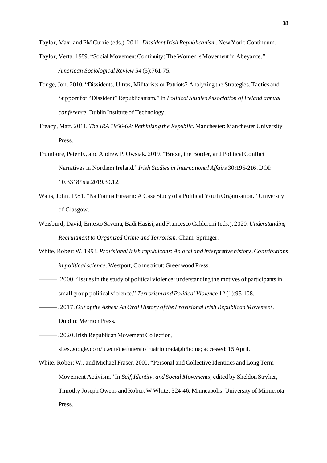Taylor, Max, and PM Currie (eds.). 2011. *Dissident Irish Republicanism*. New York: Continuum.

- Taylor, Verta. 1989. "Social Movement Continuity: The Women's Movement in Abeyance." *American Sociological Review* 54 (5):761-75.
- Tonge, Jon. 2010. "Dissidents, Ultras, Militarists or Patriots? Analyzing the Strategies, Tactics and Support for "Dissident"Republicanism." In *Political Studies Association of Ireland annual conference*. Dublin Institute of Technology.
- Treacy, Matt. 2011. *The IRA 1956-69: Rethinking the Republic*. Manchester: Manchester University Press.
- Trumbore, Peter F., and Andrew P. Owsiak. 2019. "Brexit, the Border, and Political Conflict Narratives in Northern Ireland." *Irish Studies in International Affairs* 30:195-216. DOI: 10.3318/isia.2019.30.12.
- Watts, John. 1981. "Na Fianna Eireann: A Case Study of a Political Youth Organisation." University of Glasgow.
- Weisburd, David, Ernesto Savona, Badi Hasisi, and Francesco Calderoni (eds.). 2020. *Understanding Recruitment to Organized Crime and Terrorism*.Cham, Springer.
- White, Robert W. 1993. *Provisional Irish republicans: An oral and interpretive history*, *Contributions in political science*. Westport, Connecticut: Greenwood Press.
- ———. 2000. "Issues in the study of political violence: understanding the motives of participants in small group political violence." *Terrorism and Political Violence* 12 (1):95-108.
- ———. 2017. *Out of the Ashes: An Oral History of the Provisional Irish Republican Movement*. Dublin: Merrion Press.

———. 2020. Irish Republican Movement Collection,

sites.google.com/iu.edu/thefuneralofruairiobradaigh/home; accessed: 15 April.

White, Robert W., and Michael Fraser. 2000. "Personal and Collective Identities and Long Term Movement Activism." In *Self, Identity, and Social Movements*, edited by Sheldon Stryker, Timothy Joseph Owens and Robert W White, 324-46. Minneapolis: University of Minnesota Press.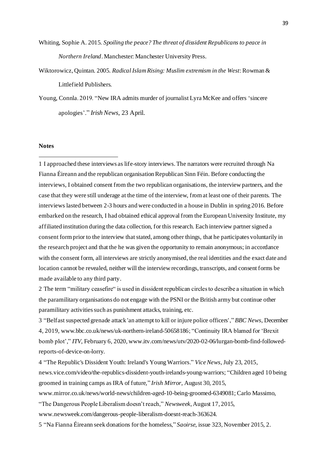Whiting, Sophie A. 2015. *Spoiling the peace? The threat of dissident Republicans to peace in Northern Ireland*. Manchester: Manchester University Press.

- Wiktorowicz, Quintan. 2005. *Radical Islam Rising: Muslim extremism in the West*: Rowman & Littlefield Publishers.
- Young, Connla. 2019. "New IRA admits murder of journalist Lyra McKee and offers 'sincere apologies'." *Irish News*, 23 April.

#### **Notes**

1 I approached these interviews as life-story interviews. The narrators were recruited through Na Fianna Éireann and the republican organisation Republican Sinn Féin. Before conducting the interviews, I obtained consent from the two republican organisations, the interview partners, and the case that they were still underage at the time of the interview, from at least one of their parents. The interviews lasted between 2-3 hours and were conducted in a house in Dublin in spring 2016. Before embarked on the research, I had obtained ethical approval from the European University Institute, my affiliated institution during the data collection, for this research. Each interview partner signed a consent form prior to the interview that stated, among other things, that he participates voluntarily in the research project and that the he was given the opportunity to remain anonymous; in accordance with the consent form, all interviews are strictly anonymised, the real identities and the exact date and location cannot be revealed, neither will the interview recordings, transcripts, and consent forms be made available to any third party.

2 The term "military ceasefire" is used in dissident republican circles to describe a situation in which the paramilitary organisations do not engage with the PSNI or the British army but continue other paramilitary activities such as punishment attacks, training, etc.

3 "Belfast suspected grenade attack 'an attempt to kill or injure police officers'," *BBC News*, December 4, 2019, www.bbc.co.uk/news/uk-northern-ireland-50658186; "Continuity IRA blamed for 'Brexit bomb plot'," *ITV*, February 6, 2020, www.itv.com/news/utv/2020-02-06/lurgan-bomb-find-followedreports-of-device-on-lorry.

4 "The Republic's Dissident Youth: Ireland's Young Warriors." *Vice News*, July 23, 2015, news.vice.com/video/the-republics-dissident-youth-irelands-young-warriors; "Children aged 10 being groomed in training camps as IRA of future," *Irish Mirror*, August 30, 2015, www.mirror.co.uk/news/world-news/children-aged-10-being-groomed-6349081; Carlo Massimo, "The Dangerous People Liberalism doesn't reach," *Newsweek*, August 17, 2015,

www.newsweek.com/dangerous-people-liberalism-doesnt-reach-363624.

5 "Na Fianna Éireann seek donations for the homeless," *Saoirse*, issue 323, November 2015, 2.